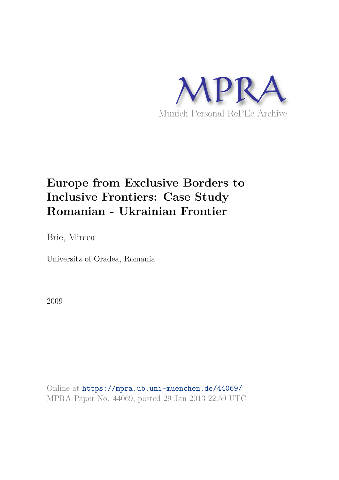

# **Europe from Exclusive Borders to Inclusive Frontiers: Case Study Romanian - Ukrainian Frontier**

Brie, Mircea

Universitz of Oradea, Romania

2009

Online at https://mpra.ub.uni-muenchen.de/44069/ MPRA Paper No. 44069, posted 29 Jan 2013 22:59 UTC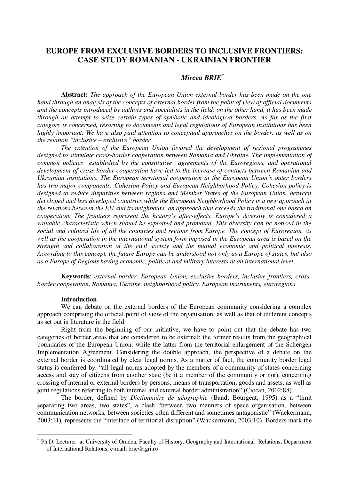## **EUROPE FROM EXCLUSIVE BORDERS TO INCLUSIVE FRONTIERS: CASE STUDY ROMANIAN - UKRAINIAN FRONTIER**

## *Mircea BRIE\**

**Abstract:** *The approach of the European Union external border has been made on the one hand through an analysis of the concepts of external border from the point of view of official documents and the concepts introduced by authors and specialists in the field; on the other hand, it has been made through an attempt to seize certain types of symbolic and ideological borders. As far as the first category is concerned, resorting to documents and legal regulations of European institutions has been highly important. We have also paid attention to conceptual approaches on the border, as well as on the relation "inclusive – exclusive" border.* 

*The extention of the European Union favored the development of regional programmes*  designed to stimulate cross-border cooperation between Romania and Ukraine. The implementation of *common policies established by the constitutive agreements of the Euroregions, and operational development of cross-border cooperation have led to the increase of contacts between Romanian and Ukrainian institutions. The European territorial cooperation at the European Union's outer borders has two major components: Cohesion Policy and European Neighborhood Policy. Cohesion policy is designed to reduce disparities between regions and Member States of the European Union, between developed and less developed countries while the European Neighborhood Policy is a new approach in the relations between the EU and its neighbours, an approach that exceeds the traditional one based on cooperation. The frontiers represent the history's after-effects. Europe's diversity is considered a valuable characteristic which should be exploited and promoted. This diversity can be noticed in the social and cultural life of all the countries and regions from Europe. The concept of Euroregion, as well as the cooperation in the international system form imposed in the European area is based on the strength and collaboration of the civil society and the mutual economic and political interests. According to this concept, the future Europe can be understood not only as a Europe of states, but also as a Europe of Regions having economic, political and military interests at an international level.* 

**Keywords**: *external border, European Union, exclusive borders, inclusive frontiers, crossborder cooperation, Romania, Ukraine, neighborhood policy, European instruments, euroregions* 

#### **Introduction**

 $\overline{a}$ 

We can debate on the external borders of the European community considering a complex approach comprising the official point of view of the organisation, as well as that of different concepts as set out in literature in the field.

Right from the beginning of our initiative, we have to point out that the debate has two categories of border areas that are considered to be external: the former results from the geographical boundaries of the European Union, while the latter from the territorial enlargement of the Schengen Implementation Agreement. Considering the double approach, the perspective of a debate on the external border is coordinated by clear legal norms. As a matter of fact, the community border legal status is conferred by: "all legal norms adopted by the members of a community of states concerning access and stay of citizens from another state (be it a member of the community or not), concerning crossing of internal or external borders by persons, means of transportation, goods and assets, as well as joint regulations referring to both internal and external border administration" (Ciocan, 2002:88).

The border, defined by *Dictionnaire de géographie* (Baud; Bourgeat, 1995) as a "limit separating two areas, two states", a clash "between two manners of space organisation, between communication networks, between societies often different and sometimes antagonistic" (Wackermann, 2003:11), represents the "interface of territorial disruption" (Wackermann, 2003:10). Borders mark the

<sup>\*</sup> Ph.D. Lecturer at University of Oradea, Faculty of History, Geography and International Relations, Department of International Relations, e-mail: brie@igri.ro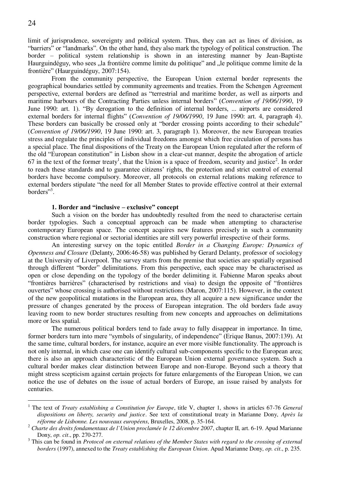limit of jurisprudence, sovereignty and political system. Thus, they can act as lines of division, as "barriers" or "landmarks". On the other hand, they also mark the typology of political construction. The border – political system relationship is shown in an interesting manner by Jean-Baptiste Haurguindéguy, who sees "la frontière comme limite du politique" and "le politique comme limite de la frontière" (Haurguindéguy, 2007:154).

From the community perspective, the European Union external border represents the geographical boundaries settled by community agreements and treaties. From the Schengen Agreement perspective, external borders are defined as "terrestrial and maritime border, as well as airports and maritime harbours of the Contracting Parties unless internal borders" (*Convention of 19/06/1990*, 19 June 1990: art. 1). "By derogation to the definition of internal borders, ... airports are considered external borders for internal flights" (*Convention of 19/06/1990*, 19 June 1990: art. 4, paragraph 4). These borders can basically be crossed only at "border crossing points according to their schedule" (*Convention of 19/06/1990*, 19 June 1990: art. 3, paragraph 1). Moreover, the new European treaties stress and regulate the principles of individual freedoms amongst which free circulation of persons has a special place. The final dispositions of the Treaty on the European Union regulated after the reform of the old "European constitution" in Lisbon show in a clear-cut manner, despite the abrogation of article 67 in the text of the former treaty<sup>1</sup>, that the Union is a space of freedom, security and justice<sup>2</sup>. In order to reach these standards and to guarantee citizens' rights, the protection and strict control of external borders have become compulsory. Moreover, all protocols on external relations making reference to external borders stipulate "the need for all Member States to provide effective control at their external borders"<sup>3</sup>.

## **1. Border and "inclusive – exclusive" concept**

Such a vision on the border has undoubtedly resulted from the need to characterise certain border typologies. Such a conceptual approach can be made when attempting to characterise contemporary European space. The concept acquires new features precisely in such a community construction where regional or sectorial identities are still very powerful irrespective of their forms.

An interesting survey on the topic entitled *Border in a Changing Europe: Dynamics of Openness and Closure* (Delanty, 2006:46-58) was published by Gerard Delanty, professor of sociology at the University of Liverpool. The survey starts from the premise that societies are spatially organised through different "border" delimitations. From this perspective, each space may be characterised as open or close depending on the typology of the border delimiting it. Fabienne Maron speaks about "frontières barrières" (characterised by restrictions and visa) to design the opposite of "frontières ouvertes" whose crossing is authorised without restrictions (Maron, 2007:115). However, in the context of the new geopolitical mutations in the European area, they all acquire a new significance under the pressure of changes generated by the process of European integration. The old borders fade away leaving room to new border structures resulting from new concepts and approaches on delimitations more or less spatial.

The numerous political borders tend to fade away to fully disappear in importance. In time, former borders turn into mere "symbols of singularity, of independence" (Erique Banus, 2007:139). At the same time, cultural borders, for instance, acquire an ever more visible functionality. The approach is not only internal, in which case one can identify cultural sub-components specific to the European area; there is also an approach characteristic of the European Union external governance system. Such a cultural border makes clear distinction between Europe and non-Europe. Beyond such a theory that might stress scepticism against certain projects for future enlargements of the European Union, we can notice the use of debates on the issue of actual borders of Europe, an issue raised by analysts for centuries.

 1 The text of *Treaty establishing a Constitution for Europe*, title V, chapter 1, shows in articles 67-76 *General dispositions on liberty, security and justice*. See text of constitutional treaty in Marianne Dony, *Après la réforme de Lisbonne. Les nouveaux européens*, Bruxelles, 2008, p. 35-164.

<sup>2</sup> *Charte des droits fondamentaux de l`Union proclamée le 12 décembre 2007*, chapter II, art. 6-19. Apud Marianne Dony, *op. cit*., pp. 270-277.

<sup>&</sup>lt;sup>3</sup> This can be found in *Protocol on external relations of the Member States with regard to the crossing of external borders* (1997), annexed to the *Treaty establishing the European Union*. Apud Marianne Dony, *op. cit*., p. 235.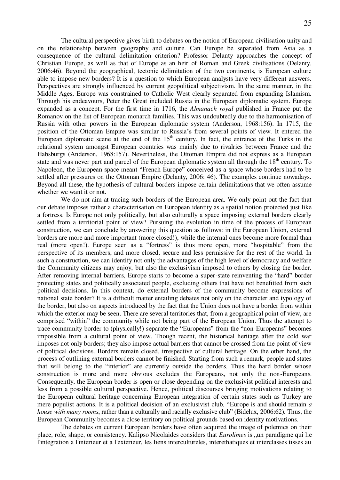The cultural perspective gives birth to debates on the notion of European civilisation unity and on the relationship between geography and culture. Can Europe be separated from Asia as a consequence of the cultural delimitation criterion? Professor Delanty approaches the concept of Christian Europe, as well as that of Europe as an heir of Roman and Greek civilisations (Delanty, 2006:46). Beyond the geographical, tectonic delimitation of the two continents, is European culture able to impose new borders? It is a question to which European analysts have very different answers. Perspectives are strongly influenced by current geopolitical subjectivism. In the same manner, in the Middle Ages, Europe was constrained to Catholic West clearly separated from expanding Islamism. Through his endeavours, Peter the Great included Russia in the European diplomatic system. Europe expanded as a concept. For the first time in 1716, the *Almanach royal* published in France put the Romanov on the list of European monarch families. This was undoubtedly due to the harmonisation of Russia with other powers in the European diplomatic system (Anderson, 1968:156). In 1715, the position of the Ottoman Empire was similar to Russia's from several points of view. It entered the European diplomatic scene at the end of the  $15<sup>th</sup>$  century. In fact, the entrance of the Turks in the relational system amongst European countries was mainly due to rivalries between France and the Habsburgs (Anderson, 1968:157). Nevertheless, the Ottoman Empire did not express as a European state and was never part and parcel of the European diplomatic system all through the  $18<sup>th</sup>$  century. To Napoleon, the European space meant "French Europe" conceived as a space whose borders had to be settled after pressures on the Ottoman Empire (Delanty, 2006: 46). The examples continue nowadays. Beyond all these, the hypothesis of cultural borders impose certain delimitations that we often assume whether we want it or not.

We do not aim at tracing such borders of the European area. We only point out the fact that our debate imposes rather a characterisation on European identity as a spatial notion protected just like a fortress. Is Europe not only politically, but also culturally a space imposing external borders clearly settled from a territorial point of view? Pursuing the evolution in time of the process of European construction, we can conclude by answering this question as follows: in the European Union, external borders are more and more important (more closed!), while the internal ones become more formal than real (more open!). Europe seen as a "fortress" is thus more open, more "hospitable" from the perspective of its members, and more closed, secure and less permissive for the rest of the world. In such a construction, we can identify not only the advantages of the high level of democracy and welfare the Community citizens may enjoy, but also the exclusivism imposed to others by closing the border. After removing internal barriers, Europe starts to become a super-state reinventing the "hard" border protecting states and politically associated people, excluding others that have not benefitted from such political decisions. In this context, do external borders of the community become expressions of national state border? It is a difficult matter entailing debates not only on the character and typology of the border, but also on aspects introduced by the fact that the Union does not have a border from within which the exterior may be seen. There are several territories that, from a geographical point of view, are comprised "within" the community while not being part of the European Union. Thus the attempt to trace community border to (physically!) separate the "Europeans" from the "non-Europeans" becomes impossible from a cultural point of view. Though recent, the historical heritage after the cold war imposes not only borders; they also impose actual barriers that cannot be crossed from the point of view of political decisions. Borders remain closed, irrespective of cultural heritage. On the other hand, the process of outlining external borders cannot be finished. Starting from such a remark, people and states that will belong to the "interior" are currently outside the borders. Thus the hard border whose construction is more and more obvious excludes the Europeans, not only the non-Europeans. Consequently, the European border is open or close depending on the exclusivist political interests and less from a possible cultural perspective. Hence, political discourses bringing motivations relating to the European cultural heritage concerning European integration of certain states such as Turkey are mere populist actions. It is a political decision of an exclusivist club. "Europe is and should remain *a house with many rooms*, rather than a culturally and racially exclusive club" (Bidelux, 2006:62). Thus, the European Community becomes a close territory on political grounds based on identity motivations.

The debates on current European borders have often acquired the image of polemics on their place, role, shape, or consistency. Kalipso Nicolaides considers that *Eurolimes* is <sub>v</sub>un paradigme qui lie l'integration a l'interieur et a l'exterieur, les liens intercultureles, interethatiques et interclasses tisses au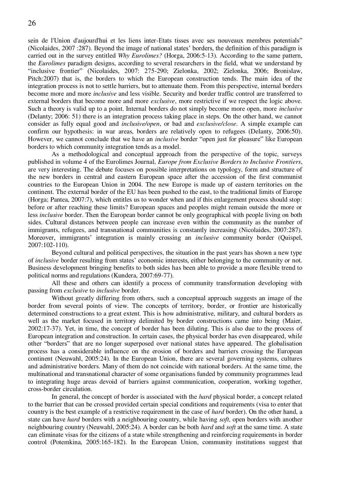sein de l'Union d'aujourd'hui et les liens inter-Etats tisses avec ses nouveaux membres potentials" (Nicolaides, 2007 :287). Beyond the image of national states' borders, the definition of this paradigm is carried out in the survey entitled *Why Eurolimes?* (Horga, 2006:5-13). According to the same pattern, the *Eurolimes* paradigm designs, according to several researchers in the field, what we understand by "inclusive frontier" (Nicolaides, 2007: 275-290; Zielonka, 2002; Zielonka, 2006; Bronislaw, Pitch:2007) that is, the borders to which the European construction tends. The main idea of the integration process is not to settle barriers, but to attenuate them. From this perspective, internal borders become more and more *inclusive* and less visible. Security and border traffic control are transferred to external borders that become more and more *exclusive*, more restrictive if we respect the logic above. Such a theory is valid up to a point. Internal borders do not simply become more open, more *inclusive*  (Delanty; 2006: 51) there is an integration process taking place in steps. On the other hand, we cannot consider as fully equal good and *inclusive/open*, or bad and *exclusive/close*. A simple example can confirm our hypothesis: in war areas, borders are relatively open to refugees (Delanty, 2006:50). However, we cannot conclude that we have an *inclusive* border "open just for pleasure" like European borders to which community integration tends as a model.

As a methodological and conceptual approach from the perspective of the topic, surveys published in volume 4 of the Eurolimes Journal, *Europe from Exclusive Borders to Inclusive Frontiers*, are very interesting. The debate focuses on possible interpretations on typology, form and structure of the new borders in central and eastern European space after the accession of the first communist countries to the European Union in 2004. The new Europe is made up of eastern territories on the continent. The external border of the EU has been pushed to the east, to the traditional limits of Europe (Horga; Pantea, 2007:7), which entitles us to wonder when and if this enlargement process should stop: before or after reaching these limits? European spaces and peoples might remain outside the more or less *inclusive* border. Then the European border cannot be only geographical with people living on both sides. Cultural distances between people can increase even within the community as the number of immigrants, refugees, and transnational communities is constantly increasing (Nicolaides, 2007:287). Moreover, immigrants' integration is mainly crossing an *inclusive* community border (Quispel, 2007:102-110).

Beyond cultural and political perspectives, the situation in the past years has shown a new type of *inclusive* border resulting from states' economic interests, either belonging to the community or not. Business development bringing benefits to both sides has been able to provide a more flexible trend to political norms and regulations (Kundera, 2007:69-77).

All these and others can identify a process of community transformation developing with passing from *exclusive* to *inclusive* border.

Without greatly differing from others, such a conceptual approach suggests an image of the border from several points of view. The concepts of territory, border, or frontier are historically determined constructions to a great extent. This is how administrative, military, and cultural borders as well as the market focused in territory delimited by border constructions came into being (Maier, 2002:17-37). Yet, in time, the concept of border has been diluting. This is also due to the process of European integration and construction. In certain cases, the physical border has even disappeared, while other "borders" that are no longer superposed over national states have appeared. The globalisation process has a considerable influence on the erosion of borders and barriers crossing the European continent (Neuwahl, 2005:24). In the European Union, there are several governing systems, cultures and administrative borders. Many of them do not coincide with national borders. At the same time, the multinational and transnational character of some organisations funded by community programmes lead to integrating huge areas devoid of barriers against communication, cooperation, working together, cross-border circulation.

In general, the concept of border is associated with the *hard* physical border, a concept related to the barrier that can be crossed provided certain special conditions and requirements (visa to enter that country is the best example of a restrictive requirement in the case of *hard* border). On the other hand, a state can have *hard* borders with a neighbouring country, while having *soft*, open borders with another neighbouring country (Neuwahl, 2005:24). A border can be both *hard* and *soft* at the same time. A state can eliminate visas for the citizens of a state while strengthening and reinforcing requirements in border control (Potemkina, 2005:165-182). In the European Union, community institutions suggest that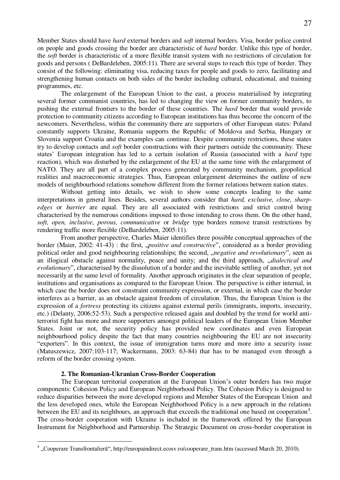Member States should have *hard* external borders and *soft* internal borders. Visa, border police control on people and goods crossing the border are characteristic of *hard* border. Unlike this type of border, the *soft* border is characteristic of a more flexible transit system with no restrictions of circulation for goods and persons ( DeBardeleben, 2005:11). There are several steps to reach this type of border. They consist of the following: eliminating visa, reducing taxes for people and goods to zero, facilitating and strengthening human contacts on both sides of the border including cultural, educational, and training programmes, etc.

The enlargement of the European Union to the east, a process materialised by integrating several former communist countries, has led to changing the view on former community borders, to pushing the external frontiers to the border of these countries. The *hard* border that would provide protection to community citizens according to European institutions has thus become the concern of the newcomers. Nevertheless, within the community there are supporters of other European states: Poland constantly supports Ukraine, Romania supports the Republic of Moldova and Serbia, Hungary or Slovenia support Croatia and the examples can continue. Despite community restrictions, these states try to develop contacts and *soft* border constructions with their partners outside the community. These states' European integration has led to a certain isolation of Russia (associated with a *hard* type reaction), which was disturbed by the enlargement of the EU at the same time with the enlargement of NATO. They are all part of a complex process generated by community mechanism, geopolitical realities and macroeconomic strategies. Thus, European enlargement determines the outline of new models of neighbourhood relations somehow different from the former relations between nation states.

Without getting into details, we wish to show some concepts leading to the same interpretations in general lines. Besides, several authors consider that *hard, exclusive, close, sharpedges* or *barrier* are equal. They are all associated with restrictions and strict control being characterised by the numerous conditions imposed to those intending to cross them. On the other hand, *soft, open, inclusive, porous, communicative* or *bridge* type borders remove transit restrictions by rendering traffic more flexible (DeBardeleben, 2005:11).

From another perspective, Charles Maier identifies three possible conceptual approaches of the border (Maier, 2002: 41-43) : the first, *"positive and constructive*", considered as a border providing political order and good neighbouring relationships; the second, *"negative and revolutionary*", seen as an illogical obstacle against normality, peace and unity; and the third approach, "*dialectical and evolutionary*", characterised by the dissolution of a border and the inevitable settling of another, yet not necessarily at the same level of formality. Another approach originates in the clear separation of people, institutions and organisations as compared to the European Union. The perspective is either internal, in which case the border does not constraint community expression, or external, in which case the border interferes as a barrier, as an obstacle against freedom of circulation. Thus, the European Union is the expression of a *fortress* protecting its citizens against external perils (immigrants, imports, insecurity, etc.) (Delanty, 2006:52-53). Such a perspective released again and doubled by the trend for world antiterrorist fight has more and more supporters amongst political leaders of the European Union Member States. Joint or not, the security policy has provided new coordinates and even European neighbourhood policy despite the fact that many countries neighbouring the EU are not insecurity "exporters". In this context, the issue of immigration turns more and more into a security issue (Matuszewicz, 2007:103-117; Wackermann, 2003: 63-84) that has to be managed even through a reform of the border crossing system.

#### **2. The Romanian-Ukranian Cross-Border Cooperation**

 $\overline{a}$ 

The European territorial cooperation at the European Union's outer borders has two major components: Cohesion Policy and European Neighborhood Policy. The Cohesion Policy is designed to reduce disparities between the more developed regions and Member States of the European Union and the less developed ones, while the European Neighborhood Policy is a new approach in the relations between the EU and its neighbours, an approach that exceeds the traditional one based on cooperation<sup>4</sup>. The cross-border cooperation with Ukraine is included in the framework offered by the European Instrument for Neighborhood and Partnership. The Strategic Document on cross-border cooperation in

<sup>4</sup> "Cooperare Transfrontalieră", [http://europaindirect.ecosv.ro/cooperare\\_trans.htm \(](http://europaindirect.ecosv.ro/cooperare_trans.htm)accessed March 20, 2010).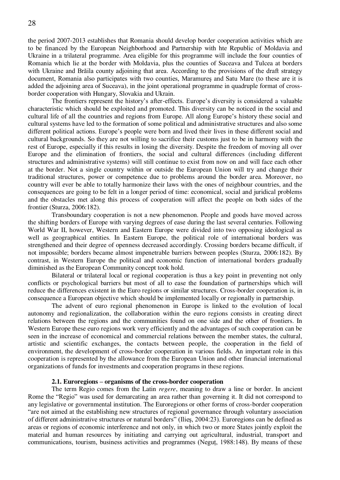the period 2007-2013 establishes that Romania should develop border cooperation activities which are to be financed by the European Neighborhood and Partnership with hte Republic of Moldavia and Ukraine in a trilateral programme. Area eligible for this programme will include the four counties of Romania which lie at the border with Moldavia, plus the counties of Suceava and Tulcea at borders with Ukraine and Brăila county adjoining that area. According to the provisions of the draft strategy document, Romania also participates with two counties, Maramureş and Satu Mare (to these are it is added the adjoining area of Suceava), in the joint operational programme in quadruple format of crossborder cooperation with Hungary, Slovakia and Ukrain.

The frontiers represent the history's after-effects. Europe's diversity is considered a valuable characteristic which should be exploited and promoted. This diversity can be noticed in the social and cultural life of all the countries and regions from Europe. All along Europe's history these social and cultural systems have led to the formation of some political and administrative structures and also some different political actions. Europe's people were born and lived their lives in these different social and cultural backgrounds. So they are not willing to sacrifice their customs just to be in harmony with the rest of Europe, especially if this results in losing the diversity. Despite the freedom of moving all over Europe and the elimination of frontiers, the social and cultural differences (including different structures and administrative systems) will still continue to exist from now on and will face each other at the border. Not a single country within or outside the European Union will try and change their traditional structures, power or competence due to problems around the border area. Moreover, no country will ever be able to totally harmonize their laws with the ones of neighbour countries, and the consequences are going to be felt in a longer period of time: economical, social and juridical problems and the obstacles met along this process of cooperation will affect the people on both sides of the frontier (Sturza, 2006:182).

Transboundary cooperation is not a new phenomenon. People and goods have moved across the shifting borders of Europe with varying degrees of ease during the last several centuries. Following World War II, however, Western and Eastern Europe were divided into two opposing ideological as well as geographical entities. In Eastern Europe, the political role of international borders was strengthened and their degree of openness decreased accordingly. Crossing borders became difficult, if not impossible; borders became almost impenetrable barriers between peoples (Sturza, 2006:182). By contrast, in Western Europe the political and economic function of international borders gradually diminished as the European Community concept took hold.

Bilateral or trilateral local or regional cooperation is thus a key point in preventing not only conflicts or psychological barriers but most of all to ease the foundation of partnerships which will reduce the differences existent in the Euro regions or similar structures. Cross-border cooperation is, in consequence a European objective which should be implemented locally or regionally in partnership.

The advent of euro regional phenomenon in Europe is linked to the evolution of local autonomy and regionalization, the collaboration within the euro regions consists in creating direct relations between the regions and the communities found on one side and the other of frontiers. In Western Europe these euro regions work very efficiently and the advantages of such cooperation can be seen in the increase of economical and commercial relations between the member states, the cultural, artistic and scientific exchanges, the contacts between people, the cooperation in the field of environment, the development of cross-border cooperation in various fields. An important role in this cooperation is represented by the allowance from the European Union and other financial international organizations of funds for investments and cooperation programs in these regions.

#### **2.1. Euroregions – organisms of the cross-border cooperation**

The term Regio comes from the Latin *regere*, meaning to draw a line or border. In ancient Rome the "Regio" was used for demarcating an area rather than governing it. It did not correspond to any legislative or governmental institution. The Euroregions or other forms of cross-border cooperation "are not aimed at the establishing new structures of regional governance through voluntary association of different administrative structures or natural borders" (Ilieş, 2004:23). Euroregions can be defined as areas or regions of economic interference and not only, in which two or more States jointly exploit the material and human resources by initiating and carrying out agricultural, industrial, transport and communications, tourism, business activities and programmes (Neguţ, 1988:148). By means of these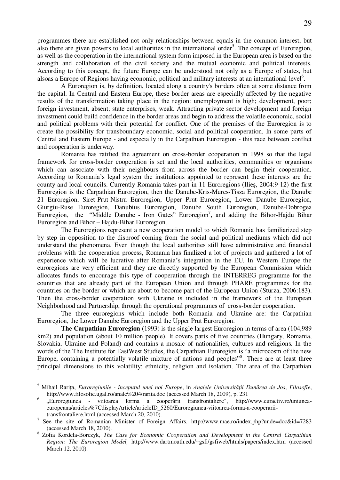programmes there are established not only relationships between equals in the common interest, but also there are given powers to local authorities in the international order<sup>5</sup>. The concept of Euroregion, as well as the cooperation in the international system form imposed in the European area is based on the strength and collaboration of the civil society and the mutual economic and political interests. According to this concept, the future Europe can be understood not only as a Europe of states, but alsoas a Europe of Regions having economic, political and military interests at an international level<sup>6</sup>.

A Euroregion is, by definition, located along a country's borders often at some distance from the capital. In Central and Eastern Europe, these border areas are especially affected by the negative results of the transformation taking place in the region: unemployment is high; development, poor; foreign investment, absent; state enterprises, weak. Attracting private sector development and foreign investment could build confidence in the border areas and begin to address the volatile economic, social and political problems with their potential for conflict. One of the premises of the Euroregion is to create the possibility for transboundary economic, social and political cooperation. In some parts of Central and Eastern Europe - and especially in the Carpathian Euroregion - this race between conflict and cooperation is underway.

Romania has ratified the agreement on cross-border cooperation in 1998 so that the legal framework for cross-border cooperation is set and the local authorities, communities or organisms which can associate with their neighbours from across the border can begin their cooperation. According to Romania's legal system the institutions appointed to represent these interests are the county and local councils. Currently Romania takes part in 11 Euroregions (Ilieş, 2004:9-12) the first Euroregion is the Carpathian Euroregion, then the Danube-Kris-Mures-Tisza Euroregion, the Danube 21 Euroregion, Siret-Prut-Nistru Euroregion, Upper Prut Euroregion, Lower Danube Euroregion, Giurgiu-Ruse Euroregion, Danubius Euroregion, Danube South Euroregion, Danube-Dobrogea Euroregion, the "Middle Danube - Iron Gates" Euroregion<sup>7</sup>, and adding the Bihor-Hajdu Bihar Euroregion and Bihor – Hajdu-Bihar Euroregion.

The Euroregions represent a new cooperation model to which Romania has familiarized step by step in opposition to the disproof coming from the social and political mediums which did not understand the phenomena. Even though the local authorities still have administrative and financial problems with the cooperation process, Romania has finalized a lot of projects and gathered a lot of experience which will be lucrative after Romania's integration in the EU. In Western Europe the euroregions are very efficient and they are directly supported by the European Commission which allocates funds to encourage this type of cooperation through the INTERREG programme for the countries that are already part of the European Union and through PHARE programmes for the countries on the border or which are about to become part of the European Union (Sturza, 2006:183). Then the cross-border cooperation with Ukraine is included in the framework of the European Neighborhood and Partnership, through the operational programmes of cross-border cooperation.

The three euroregions which include both Romania and Ukraine are: the Carpathian Euroregion, the Lower Danube Euroregion and the Upper Prut Euroregion.

**The Carpathian Euroregion** (1993) is the single largest Euroregion in terms of area (104,989 km2) and population (about 10 million people). It covers parts of five countries (Hungary, Romania, Slovakia, Ukraine and Poland) and contains a mosaic of nationalities, cultures and religions. In the words of the The Institute for EastWest Studies, the Carpathian Euroregion is "a microcosm of the new Europe, containing a potentially volatile mixture of nations and peoples"<sup>8</sup>. There are at least three principal dimensions to this volatility: ethnicity, religion and isolation. The area of the Carpathian

 $\overline{a}$ 

<sup>5</sup> Mihail Rariţa, *Euroregiunile - începutul unei noi Europe*, in *Analele Universităţii Dunărea de Jos*, *Filosofie*, <http://www.filosofie.ugal.ro/anale%204/rarita.doc>(accessed March 18, 2009), p. 231

<sup>6</sup> "Euroregiunea - viitoarea forma a cooperării transfrontaliere", [http://www.euractiv.ro/uniunea](http://www.euractiv.ro/uniunea-europeana/articles%7CdisplayArticle/articleID_5260/Euroregiunea-viitoarea-forma-a-cooperarii-transfrontaliere.html)[europeana/articles%7CdisplayArticle/articleID\\_5260/Euroregiunea-viitoarea-forma-a-cooperarii](http://www.euractiv.ro/uniunea-europeana/articles%7CdisplayArticle/articleID_5260/Euroregiunea-viitoarea-forma-a-cooperarii-transfrontaliere.html)[transfrontaliere.html \(](http://www.euractiv.ro/uniunea-europeana/articles%7CdisplayArticle/articleID_5260/Euroregiunea-viitoarea-forma-a-cooperarii-transfrontaliere.html)accessed March 20, 2010).

<sup>7</sup> See the site of Romanian Minister of Foreign Affairs, <http://www.mae.ro/index.php?unde=doc&id=7283> (accessed March 18, 2010).

<sup>8</sup> Zofia Kordela-Borczyk, *The Case for Economic Cooperation and Development in the Central Carpathian Region: The Euroregion Model,* <http://www.dartmouth.edu/~gsfi/gsfiweb/htmls/papers/index.htm>(accessed March 12, 2010).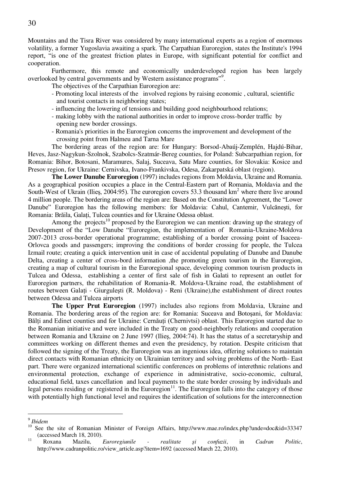Mountains and the Tisra River was considered by many international experts as a region of enormous volatility, a former Yugoslavia awaiting a spark. The Carpathian Euroregion, states the Institute's 1994 report, "is one of the greatest friction plates in Europe, with significant potential for conflict and cooperation.

Furthermore, this remote and economically underdeveloped region has been largely overlooked by central governments and by Western assistance programs"<sup>9</sup>.

The objectives of the Carpathian Euroregion are:

- Promoting local interests of the involved regions by raising economic , cultural, scientific and tourist contacts in neighboring states;
- influencing the lowering of tensions and building good neighbourhood relations;
- making lobby with the national authorities in order to improve cross-border traffic by opening new border crossings.
- Romania's priorities in the Euroregion concerns the improvement and development of the crossing point from Halmeu and Tarna Mare

The bordering areas of the region are: for Hungary: Borsod-Abaúj-Zemplén, Hajdú-Bihar, Heves, Jasz-Nagykun-Szolnok, Szabolcs-Szatmár-Bereg counties, for Poland: Subcarpathian region, for Romania: Bihor, Botosani, Maramures, Salaj, Suceava, Satu Mare counties, for Slovakia: Kosice and Presov region, for Ukraine: Cernivska, Ivano-Frankivska, Odesa, Zakarpatská oblast (region).

**The Lower Danube Euroregion** (1997) includes regions from Moldavia, Ukraine and Romania. As a geographical position occupies a place in the Central-Eastern part of Romania, Moldavia and the South-West of Ukrain (Ilies, 2004:95). The euroregion covers 53.3 thousand  $km<sup>2</sup>$  where there live around 4 million people. The bordering areas of the region are: Based on the Constitution Agreement, the "Lower Danube" Euroregion has the following members: for Moldavia: Cahul, Cantemir, Vulcăneşti, for Romania: Brăila, Galati, Tulcea counties and for Ukraine Odessa oblast.

Among the projects<sup>10</sup> proposed by the Euroregion we can mention: drawing up the strategy of Development of the "Low Danube "Euroregion, the implementation of Romania-Ukraine-Moldova 2007-2013 cross-border operational programme; establishing of a border crossing point of Isaceea-Orlovca goods and passengers; improving the conditions of border crossing for people, the Tulcea Izmail route; creating a quick intervention unit in case of accidental populating of Danube and Danube Delta, creating a center of cross-bord information ,the promoting green tourism in the Euroregion, creating a map of cultural tourism in the Euroregional space, developing common tourism products in Tulcea and Odessa, establishing a center of first sale of fish in Galati to represent an outlet for Euroregion partners, the rehabilitation of Romania-R. Moldova-Ukraine road, the establishment of routes between Galati - Giurgulești (R. Moldova) - Reni (Ukraine), the establishment of direct routes between Odessa and Tulcea airports

**The Upper Prut Euroregion** (1997) includes also regions from Moldavia, Ukraine and Romania. The bordering areas of the region are: for Romania: Suceava and Botoşani, for Moldavia: Bălți and Edinet counties and for Ukraine: Cernăuți (Chernivtsi) oblast. This Euroregion started due to the Romanian initiative and were included in the Treaty on good-neighborly relations and cooperation between Romania and Ukraine on 2 June 1997 (Ilieş, 2004:74). It has the status of a secretaryship and committees working on different themes and even the presidency, by rotation. Despite criticism that followed the signing of the Treaty, the Euroregion was an ingenious idea, offering solutions to maintain direct contacts with Romanian ethnicity on Ukrainian territory and solving problems of the North- East part. There were organized international scientific conferences on problems of interethnic relations and environmental protection, exchange of experience in administrative, socio-economic, cultural, educational field, taxes cancellation and local payments to the state border crossing by individuals and legal persons residing or registered in the Euroregion<sup>11</sup>. The Euroregion falls into the category of those with potentially high functional level and requires the identification of solutions for the interconnection

 9 *Ibidem*

<sup>&</sup>lt;sup>10</sup> See the site of Romanian Minister of Foreign Affairs, http://www.mae.ro/index.php?unde=doc&id=33347 (accessed March 18, 2010).

<sup>11</sup> Roxana Mazilu, *Euroregiunile - realitate şi confuzii*, in *Cadran Politic*, [http://www.cadranpolitic.ro/view\\_article.asp?item=1692](http://www.cadranpolitic.ro/view_article.asp?item=1692) (accessed March 22, 2010).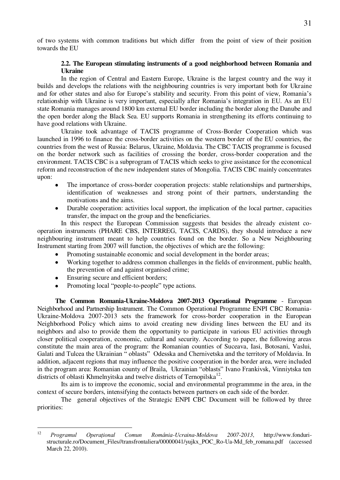of two systems with common traditions but which differ from the point of view of their position towards the EU

## **2.2. The European stimulating instruments of a good neighborhood between Romania and Ukraine**

In the region of Central and Eastern Europe, Ukraine is the largest country and the way it builds and develops the relations with the neighbouring countries is very important both for Ukraine and for other states and also for Europe's stability and security. From this point of view, Romania's relationship with Ukraine is very important, especially after Romania's integration in EU. As an EU state Romania manages around 1800 km external EU border including the border along the Danube and the open border along the Black Sea. EU supports Romania in strengthening its efforts continuing to have good relations with Ukraine.

Ukraine took advantage of TACIS programme of Cross-Border Cooperation which was launched in 1996 to finance the cross-border activities on the western border of the EU countries, the countries from the west of Russia: Belarus, Ukraine, Moldavia. The CBC TACIS programme is focused on the border network such as facilities of crossing the border, cross-border cooperation and the environment. TACIS CBC is a subprogram of TACIS which seeks to give assistance for the economical reform and reconstruction of the new independent states of Mongolia. TACIS CBC mainly concentrates upon:

- The importance of cross-border cooperation projects: stable relationships and partnerships, identification of weaknesses and strong point of their partners, understanding the motivations and the aims.
- Durable cooperation: activities local support, the implication of the local partner, capacities transfer, the impact on the group and the beneficiaries.

In this respect the European Commission suggests that besides the already existent cooperation instruments (PHARE CBS, INTERREG, TACIS, CARDS), they should introduce a new neighbouring instrument meant to help countries found on the border. So a New Neighbouring Instrument starting from 2007 will function, the objectives of which are the following:

- Promoting sustainable economic and social development in the border areas;
- Working together to address common challenges in the fields of environment, public health, the prevention of and against organised crime;
- Ensuring secure and efficient borders;
- Promoting local "people-to-people" type actions.

**The Common Romania-Ukraine-Moldova 2007-2013 Operational Programme** - European Neighborhood and Partnership Instrument. The Common Operational Programme ENPI CBC Romania-Ukraine-Moldova 2007-2013 sets the framework for cross-border cooperation in the European Neighborhood Policy which aims to avoid creating new dividing lines between the EU and its neighbors and also to provide them the opportunity to participate in various EU activities through closer political cooperation, economic, cultural and security. According to paper, the following areas constitute the main area of the program: the Romanian counties of Suceava, Iasi, Botosani, Vaslui, Galati and Tulcea the Ukrainian " oblasts" Odesska and Chernivetska and the territory of Moldavia. In addition, adjacent regions that may influence the positive cooperation in the border area, were included in the program area: Romanian county of Braila, Ukrainian "oblasts" Ivano Frankivsk, Vinniytska ten districts of oblasti Khmelnyitska and twelve districts of Ternopilska<sup>12</sup>.

Its aim is to improve the economic, social and environmental programmme in the area, in the context of secure borders, intensifying the contacts between partners on each side of the border.

The general objectives of the Strategic ENPI CBC Document will be followed by three priorities:

 $12<sup>12</sup>$ <sup>12</sup> *Programul Operaţional Comun România-Ucraina-Moldova 2007-2013*, [http://www.fonduri](http://www.fonduri-structurale.ro/Document_Files/transfrontaliera/00000041/yujkx_POC_Ro-Ua-Md_feb_romana.pdf)[structurale.ro/Document\\_Files//transfrontaliera/00000041/yujkx\\_POC\\_Ro-Ua-Md\\_feb\\_romana.pdf](http://www.fonduri-structurale.ro/Document_Files/transfrontaliera/00000041/yujkx_POC_Ro-Ua-Md_feb_romana.pdf) (accessed March 22, 2010).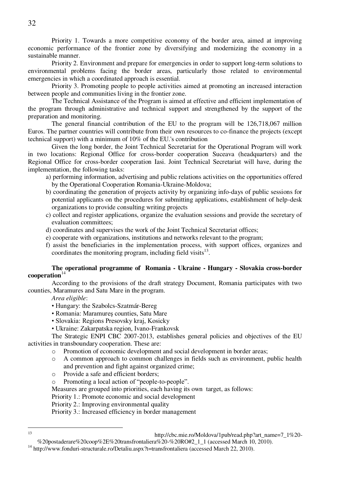Priority 1. Towards a more competitive economy of the border area, aimed at improving economic performance of the frontier zone by diversifying and modernizing the economy in a sustainable manner.

Priority 2. Environment and prepare for emergencies in order to support long-term solutions to environmental problems facing the border areas, particularly those related to environmental emergencies in which a coordinated approach is essential.

Priority 3. Promoting people to people activities aimed at promoting an increased interaction between people and communities living in the frontier zone.

The Technical Assistance of the Program is aimed at effective and efficient implementation of the program through administrative and technical support and strengthened by the support of the preparation and monitoring.

The general financial contribution of the EU to the program will be 126,718,067 million Euros. The partner countries will contribute from their own resources to co-finance the projects (except technical support) with a minimum of 10% of the EU.'s contribution

Given the long border, the Joint Technical Secretariat for the Operational Program will work in two locations: Regional Office for cross-border cooperation Suceava (headquarters) and the Regional Office for cross-border cooperation Iasi. Joint Technical Secretariat will have, during the implementation, the following tasks:

- a) performing information, advertising and public relations activities on the opportunities offered by the Operational Cooperation Romania-Ukraine-Moldova;
- b) coordinating the generation of projects activity by organizing info-days of public sessions for potential applicants on the procedures for submitting applications, establishment of help-desk organizations to provide consulting writing projects
- c) collect and register applications, organize the evaluation sessions and provide the secretary of evaluation committees;
- d) coordinates and supervises the work of the Joint Technical Secretariat offices;
- e) cooperate with organizations, institutions and networks relevant to the program;
- f) assist the beneficiaries in the implementation process, with support offices, organizes and coordinates the monitoring program, including field visits $^{13}$ .

## **The operational programme of Romania - Ukraine - Hungary - Slovakia cross-border**  cooperation<sup>14</sup>

According to the provisions of the draft strategy Document, Romania participates with two counties, Maramures and Satu Mare in the program.

*Area eligible*:

 $13$ 

- Hungary: the Szabolcs-Szatmár-Bereg
- Romania: Maramureş counties, Satu Mare
- Slovakia: Regions Presovsky kraj, Kosicky
- Ukraine: Zakarpatska region, Ivano-Frankovsk

The Strategic ENPI CBC 2007-2013, establishes general policies and objectives of the EU activities in transboundary cooperation. These are:

- o Promotion of economic development and social development in border areas;
- o A common approach to common challenges in fields such as environment, public health and prevention and fight against organized crime;
- o Provide a safe and efficient borders;
- o Promoting a local action of "people-to-people".

Measures are grouped into priorities, each having its own target, as follows:

Priority 1.: Promote economic and social development

Priority 2.: Improving environmental quality

Priority 3.: Increased efficiency in border management

[http://cbc.mie.ro/Moldova/1pub/read.php?art\\_name=7\\_1%20-](http://cbc.mie.ro/Moldova/1pub/read.php?art_name=7_1%20-%20postaderare%20coop%2E%20transfrontaliera%20-%20RO#2_1_1)

[<sup>%20</sup>postaderare%20coop%2E%20transfrontaliera%20-%20RO#2\\_1\\_1](http://cbc.mie.ro/Moldova/1pub/read.php?art_name=7_1%20-%20postaderare%20coop%2E%20transfrontaliera%20-%20RO#2_1_1) (accessed March 10, 2010).

<sup>&</sup>lt;sup>14</sup> [http://www.fonduri-structurale.ro/Detaliu.aspx?t=transfrontaliera \(](http://www.fonduri-structurale.ro/Detaliu.aspx?t=transfrontaliera)accessed March 22, 2010).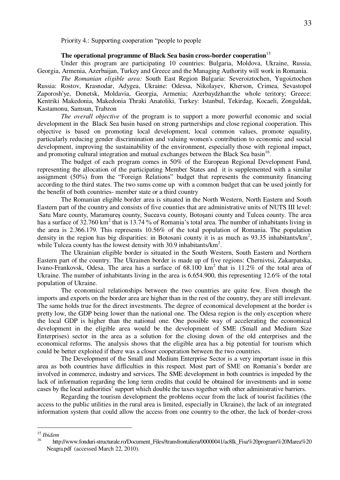Priority 4.: Supporting cooperation "people to people

## **The operational programme of Black Sea basin cross-border cooperation**<sup>15</sup>

Under this program are participating 10 countries: Bulgaria, Moldova, Ukraine, Russia, Georgia, Armenia, Azerbaijan, Turkey and Greece and the Managing Authority will work in Romania.

*The Romanian eligible area:* South East Region Bulgaria: Severoiztochen, Yugoiztochen Russia: Rostov, Krasnodar, Adygea, Ukraine: Odessa, Nikolayev, Kherson, Crimea, Sevastopol Zaporosh'ye, Donetsk, Moldavia, Georgia, Armenia; Azerbaydzhan:the whole teritory; Greece: Kentriki Makedonia, Makedonia Thraki Anatoliki, Turkey: Istanbul, Tekirdag, Kocaeli, Zonguldak, Kastamonu, Samsun, Trabzon

*The overall objective* of the program is to support a more powerful economic and social development in the Black Sea basin based on strong partnerships and close regional cooperation. This objective is based on promoting local development, local common values, promote equality, particularly reducing gender discrimination and valuing women's contribution to economic and social development, improving the sustainability of the environment, especially those with regional impact, and promoting cultural integration and mutual exchanges between the Black Sea basin<sup>16</sup>.

The budget of each program comes in 50% of the European Regional Development Fund, representing the allocation of the participating Member States and it is supplemented with a similar assignment (50%) from the "Foreign Relations" budget that represents the community financing according to the third states. The two sums come up with a common budget that can be used jointly for the benefit of both countries- member state or a third country

The Romanian eligible border area is situated in the North Western, North Eastern and South Eastern part of the country and consists of five counties that are administrative units of NUTS III level: Satu Mare county, Maramureş county, Suceava county, Botoşani county and Tulcea county. The area has a surface of 32.760 km<sup>2</sup> that is 13.74 % of Romania's total area. The number of inhabitants living in the area is 2.366.179. This represents 10.56% of the total population of Romania. The population density in the region has big disparities: in Botosani county it is as much as 93.35 inhabitants/ $km^2$ , while Tulcea county has the lowest density with 30.9 inhabitants/km<sup>2</sup>.

The Ukrainian eligible border is situated in the South Western, South Eastern and Northern Eastern part of the country. The Ukrainen border is made up of five regions: Chernivtsi, Zakarpatska, Ivano-Frankovsk, Odesa. The area has a surface of  $68.100 \text{ km}^2$  that is 11.2% of the total area of Ukraine. The number of inhabitants living in the area is 6.654.900, this representing 12.6% of the total population of Ukraine.

The economical relationships between the two countries are quite few. Even though the imports and exports on the border area are higher than in the rest of the country, they are still irrelevant. The same holds true for the direct investments. The degree of economical development at the border is pretty low, the GDP being lower than the national one. The Odesa region is the only exception where the local GDP is higher than the national one. One possible way of accelerating the economical development in the eligible area would be the development of SME (Small and Medium Size Enterprises) sector in the area as a solution for the closing down of the old enterprises and the economical reforms. The analysis shows that the eligible area has a big potential for tourism which could be better exploited if there was a closer cooperation between the two countries.

The Development of the Small and Medium Enterprise Sector is a very important issue in this area as both countries have difficulties in this respect. Most part of SME on Romania's border are involved in commerce, industry and services. The SME development in both countries is impeded by the lack of information regarding the long term credits that could be obtained for investments and in some cases by the local authorities' support which double the taxes together with other administrative barriers.

Regarding the tourism development the problems occur from the lack of tourist facilities (the access to the public utilities in the rural area is limited, especially in Ukraine), the lack of an integrated information system that could allow the access from one country to the other, the lack of border-cross

 $\overline{a}$ 

<sup>15</sup> *Ibidem* 

<sup>16</sup> [http://www.fonduri-structurale.ro/Document\\_Files//transfrontaliera/00000041/ac8lk\\_Fisa%20program%20Marea%20](http://www.fonduri-structurale.ro/Document_Files/transfrontaliera/00000041/ac8lk_Fisa%20program%20Marea%20)  Neagra.pdf (accessed March 22, 2010).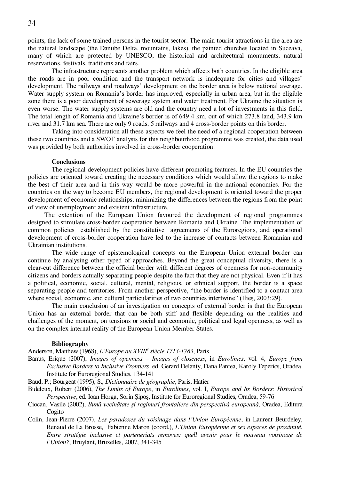points, the lack of some trained persons in the tourist sector. The main tourist attractions in the area are the natural landscape (the Danube Delta, mountains, lakes), the painted churches located in Suceava, many of which are protected by UNESCO, the historical and architectural monuments, natural reservations, festivals, traditions and fairs.

The infrastructure represents another problem which affects both countries. In the eligible area the roads are in poor condition and the transport network is inadequate for cities and villages' development. The railways and roadways' development on the border area is below national average. Water supply system on Romania's border has improved, especially in urban area, but in the eligible zone there is a poor development of sewerage system and water treatment. For Ukraine the situation is even worse. The water supply systems are old and the country need a lot of investments in this field. The total length of Romania and Ukraine's border is of 649.4 km, out of which 273.8 land, 343.9 km river and 31.7 km sea. There are only 9 roads, 5 railways and 4 cross-border points on this border.

Taking into consideration all these aspects we feel the need of a regional cooperation between these two countries and a SWOT analysis for this neighbourhood programme was created, the data used was provided by both authorities involved in cross-border cooperation.

#### **Conclusions**

The regional development policies have different promoting features. In the EU countries the policies are oriented toward creating the necessary conditions which would allow the regions to make the best of their area and in this way would be more powerful in the national economies. For the countries on the way to become EU members, the regional development is oriented toward the proper development of economic relationships, minimizing the differences between the regions from the point of view of unemployment and existent infrastructure.

 The extention of the European Union favoured the development of regional programmes designed to stimulate cross-border cooperation between Romania and Ukraine. The implementation of common policies established by the constitutive agreements of the Euroregions, and operational development of cross-border cooperation have led to the increase of contacts between Romanian and Ukrainian institutions.

The wide range of epistemological concepts on the European Union external border can continue by analysing other typed of approaches. Beyond the great conceptual diversity, there is a clear-cut difference between the official border with different degrees of openness for non-community citizens and borders actually separating people despite the fact that they are not physical. Even if it has a political, economic, social, cultural, mental, religious, or ethnical support, the border is a space separating people and territories. From another perspective, "the border is identified to a contact area where social, economic, and cultural particularities of two countries intertwine" (Ilies, 2003:29).

The main conclusion of an investigation on concepts of external border is that the European Union has an external border that can be both stiff and flexible depending on the realities and challenges of the moment, on tensions or social and economic, political and legal openness, as well as on the complex internal reality of the European Union Member States.

#### **Bibliography**

Anderson, Matthew (1968), *L'Europe au XVIII<sup>e</sup> siècle 1713-1783*, Paris

- Banus, Erique (2007), *Images of openness – Images of closeness*, in *Eurolimes*, vol. 4, *Europe from Exclusive Borders to Inclusive Frontiers*, ed. Gerard Delanty, Dana Pantea, Karoly Teperics, Oradea, Institute for Euroregional Studies, 134-141
- Baud, P.; Bourgeat (1995), S., *Dictionnaire de géographie*, Paris, Hatier
- Bideleux, Robert (2006), *The Limits of Europe*, in *Eurolimes*, vol. I, *Europe and Its Borders: Historical Perspective*, ed. Ioan Horga, Sorin Şipoş, Institute for Euroregional Studies, Oradea, 59-76
- Ciocan, Vasile (2002), *Bună vecinătate şi regimuri frontaliere din perspectivă europeană*, Oradea, Editura Cogito
- Colin, Jean-Pierre (2007), *Les paradoxes du voisinage dans l'Union Européenne*, in Laurent Beurdeley, Renaud de La Brosse, Fabienne Maron (coord.), *L`Union Européenne et ses espaces de proximité. Entre stratégie inclusive et parteneriats removes: quell avenir pour le nouveau voisinage de l`Union?*, Bruylant, Bruxelles, 2007, 341-345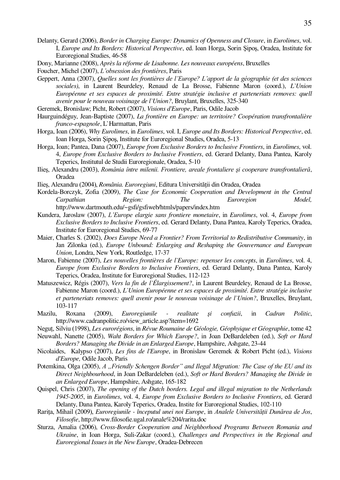- Delanty, Gerard (2006), *Border in Charging Europe: Dynamics of Openness and Closure*, in *Eurolimes*, vol. I, *Europe and Its Borders: Historical Perspective*, ed. Ioan Horga, Sorin Şipoş, Oradea, Institute for Euroregional Studies, 46-58
- Dony, Marianne (2008), *Après la réforme de Lisabonne. Les nouveaux européens*, Bruxelles
- Foucher, Michel (2007), *L'obsession des frontières*, Paris
- Geppert, Anna (2007), *Quelles sont les frontières de l'Europe? L'apport de la géographie (et des sciences sociales)*, in Laurent Beurdeley, Renaud de La Brosse, Fabienne Maron (coord.), *L`Union Européenne et ses espaces de proximité. Entre stratégie inclusive et parteneriats removes: quell avenir pour le nouveau voisinage de l`Union?*, Bruylant, Bruxelles, 325-340
- Geremek, Bronislaw; Picht, Robert (2007), *Visions d'Europe*, Paris, Odile Jacob
- Haurguindéguy, Jean-Baptiste (2007), *La frontière en Europe: un territoire? Coopération transfrontalière franco-espagnole*, L`Harmattan, Paris
- Horga, Ioan (2006), *Why Eurolimes*, in *Eurolimes*, vol. I, *Europe and Its Borders: Historical Perspective*, ed. Ioan Horga, Sorin Şipoş, Institute for Euroregional Studies, Oradea, 5-13
- Horga, Ioan; Pantea, Dana (2007), *Europe from Exclusive Borders to Inclusive Frontiers*, in *Eurolimes*, vol. 4, *Europe from Exclusive Borders to Inclusive Frontiers*, ed. Gerard Delanty, Dana Pantea, Karoly Teperics, Institutul de Studii Euroregionale, Oradea, 5-10
- Ilieş, Alexandru (2003), *România între milenii. Frontiere, areale frontaliere şi cooperare transfrontalieră*, Oradea
- Ilieş, Alexandru (2004), *România. Euroregiuni*, Editura Universităţii din Oradea, Oradea
- Kordela-Borczyk, Zofia (2009), *The Case for Economic Cooperation and Development in the Central Carpathian Region: The Euroregion Model,*  <http://www.dartmouth.edu/~gsfi/gsfiweb/htmls/papers/index.htm>
- Kundera, Jaroslaw (2007), *L'Europe elargie sans frontiere monetaire*, in *Eurolimes*, vol. 4, *Europe from Exclusive Borders to Inclusive Frontiers*, ed. Gerard Delanty, Dana Pantea, Karoly Teperics, Oradea, Institute for Euroregional Studies, 69-77
- Maier, Charles S. (2002), *Does Europe Need a Frontier? From Territorial to Redistributive Community*, in Jan Zilonka (ed.), *Europe Unbound: Enlarging and Reshaping the Gouvernance and European Union*, Londra, New York, Routledge, 17-37
- Maron, Fabienne (2007), *Les nouvelles frontières de l`Europe: repenser les concepts*, in *Eurolimes*, vol. 4, *Europe from Exclusive Borders to Inclusive Frontiers*, ed. Gerard Delanty, Dana Pantea, Karoly Teperics, Oradea, Institute for Euroregional Studies, 112-123
- Matuszewicz, Régis (2007), *Vers la fin de l`Élargissement?*, in Laurent Beurdeley, Renaud de La Brosse, Fabienne Maron (coord.), *L`Union Européenne et ses espaces de proximité. Entre stratégie inclusive et parteneriats removes: quell avenir pour le nouveau voisinage de l`Union?*, Bruxelles, Bruylant, 103-117
- Mazilu, Roxana (2009), *Euroregiunile realitate şi confuzii*, in *Cadran Politic*, [http://www.cadranpolitic.ro/view\\_article.asp?item=1692](http://www.cadranpolitic.ro/view_article.asp?item=1692)
- Neguţ, Silviu (1998), *Les eurorégions*, in *Révue Roumaine de Géologie, Géophyique et Géographie*, tome 42
- Neuwahl, Nanette (2005), *Waht Borders for Which Europe?*, in Joan DeBardeleben (ed.), *Soft or Hard Borders? Managing the Divide in an Enlarged Europe*, Hampshire, Ashgate, 23-44
- Nicolaides, Kalypso (2007), *Les fins de l'Europe*, in Bronislaw Geremek & Robert Picht (ed.), *Visions d'Europe,* Odile Jacob, Paris
- Potemkina, Olga (2005), *A* "Friendly Schengen Border" and Ilegal Migration: The Case of the EU and its *Direct Neighbourhood*, in Joan DeBardeleben (ed.), *Soft or Hard Borders? Managing the Divide in an Enlarged Europe*, Hampshire, Ashgate, 165-182
- Quispel, Chris (2007), *The opening of the Dutch borders. Legal and illegal migration to the Netherlands 1945-2005*, in *Eurolimes*, vol. 4, *Europe from Exclusive Borders to Inclusive Frontiers*, ed. Gerard Delanty, Dana Pantea, Karoly Teperics, Oradea, Instite for Euroregional Studies, 102-110
- Rariţa, Mihail (2009), *Euroregiunile începutul unei noi Europe*, in *Analele Universităţii Dunărea de Jos*, *Filosofie*[, http://www.filosofie.ugal.ro/anale%204/rarita.doc](http://www.filosofie.ugal.ro/anale%204/rarita.doc)
- Sturza, Amalia (2006), *Cross-Border Cooperation and Neighborhood Programs Between Romania and Ukraine*, in Ioan Horga, Suli-Zakar (coord.), *Challenges and Perspectives in the Regional and Euroregional Issues in the New Europe*, Oradea-Debrecen